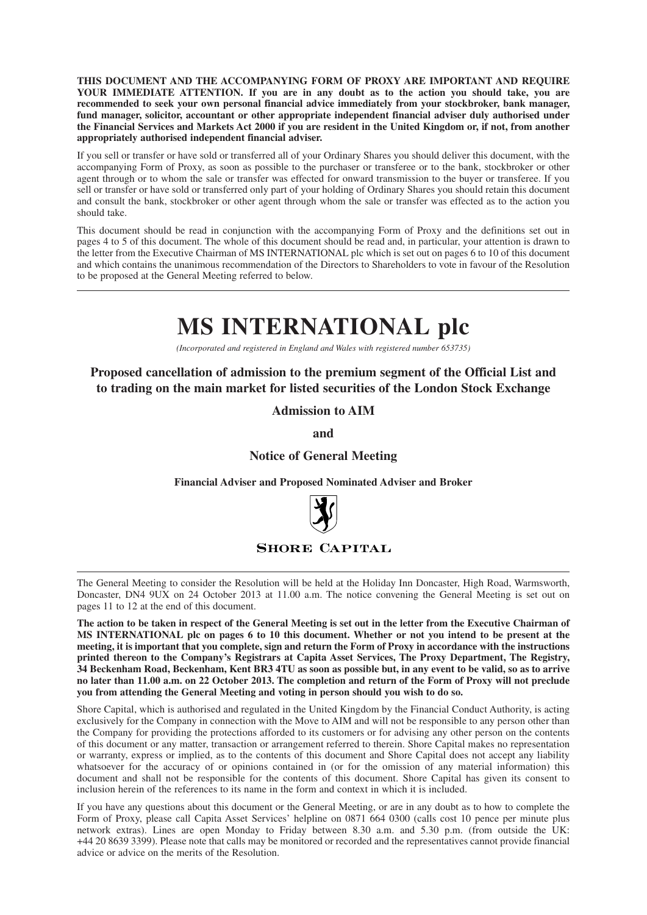**THIS DOCUMENT AND THE ACCOMPANYING FORM OF PROXY ARE IMPORTANT AND REQUIRE YOUR IMMEDIATE ATTENTION. If you are in any doubt as to the action you should take, you are recommended to seek your own personal financial advice immediately from your stockbroker, bank manager, fund manager, solicitor, accountant or other appropriate independent financial adviser duly authorised under** the Financial Services and Markets Act 2000 if you are resident in the United Kingdom or, if not, from another **appropriately authorised independent financial adviser.**

If you sell or transfer or have sold or transferred all of your Ordinary Shares you should deliver this document, with the accompanying Form of Proxy, as soon as possible to the purchaser or transferee or to the bank, stockbroker or other agent through or to whom the sale or transfer was effected for onward transmission to the buyer or transferee. If you sell or transfer or have sold or transferred only part of your holding of Ordinary Shares you should retain this document and consult the bank, stockbroker or other agent through whom the sale or transfer was effected as to the action you should take.

This document should be read in conjunction with the accompanying Form of Proxy and the definitions set out in pages 4 to 5 of this document. The whole of this document should be read and, in particular, your attention is drawn to the letter from the Executive Chairman of MS INTERNATIONAL plc which is set out on pages 6 to 10 of this document and which contains the unanimous recommendation of the Directors to Shareholders to vote in favour of the Resolution to be proposed at the General Meeting referred to below.

# **MS INTERNATIONAL plc**

*(Incorporated and registered in England and Wales with registered number 653735)*

**Proposed cancellation of admission to the premium segment of the Official List and to trading on the main market for listed securities of the London Stock Exchange**

**Admission to AIM**

**and**

#### **Notice of General Meeting**

**Financial Adviser and Proposed Nominated Adviser and Broker**



#### **SHORE CAPITAL**

The General Meeting to consider the Resolution will be held at the Holiday Inn Doncaster, High Road, Warmsworth, Doncaster, DN4 9UX on 24 October 2013 at 11.00 a.m. The notice convening the General Meeting is set out on pages 11 to 12 at the end of this document.

The action to be taken in respect of the General Meeting is set out in the letter from the Executive Chairman of MS INTERNATIONAL plc on pages 6 to 10 this document. Whether or not you intend to be present at the meeting, it is important that you complete, sign and return the Form of Proxy in accordance with the instructions **printed thereon to the Company's Registrars at Capita Asset Services, The Proxy Department, The Registry,** 34 Beckenham Road, Beckenham, Kent BR3 4TU as soon as possible but, in any event to be valid, so as to arrive no later than 11.00 a.m. on 22 October 2013. The completion and return of the Form of Proxy will not preclude **you from attending the General Meeting and voting in person should you wish to do so.**

Shore Capital, which is authorised and regulated in the United Kingdom by the Financial Conduct Authority, is acting exclusively for the Company in connection with the Move to AIM and will not be responsible to any person other than the Company for providing the protections afforded to its customers or for advising any other person on the contents of this document or any matter, transaction or arrangement referred to therein. Shore Capital makes no representation or warranty, express or implied, as to the contents of this document and Shore Capital does not accept any liability whatsoever for the accuracy of or opinions contained in (or for the omission of any material information) this document and shall not be responsible for the contents of this document. Shore Capital has given its consent to inclusion herein of the references to its name in the form and context in which it is included.

If you have any questions about this document or the General Meeting, or are in any doubt as to how to complete the Form of Proxy, please call Capita Asset Services' helpline on 0871 664 0300 (calls cost 10 pence per minute plus network extras). Lines are open Monday to Friday between 8.30 a.m. and 5.30 p.m. (from outside the UK: +44 20 8639 3399). Please note that calls may be monitored or recorded and the representatives cannot provide financial advice or advice on the merits of the Resolution.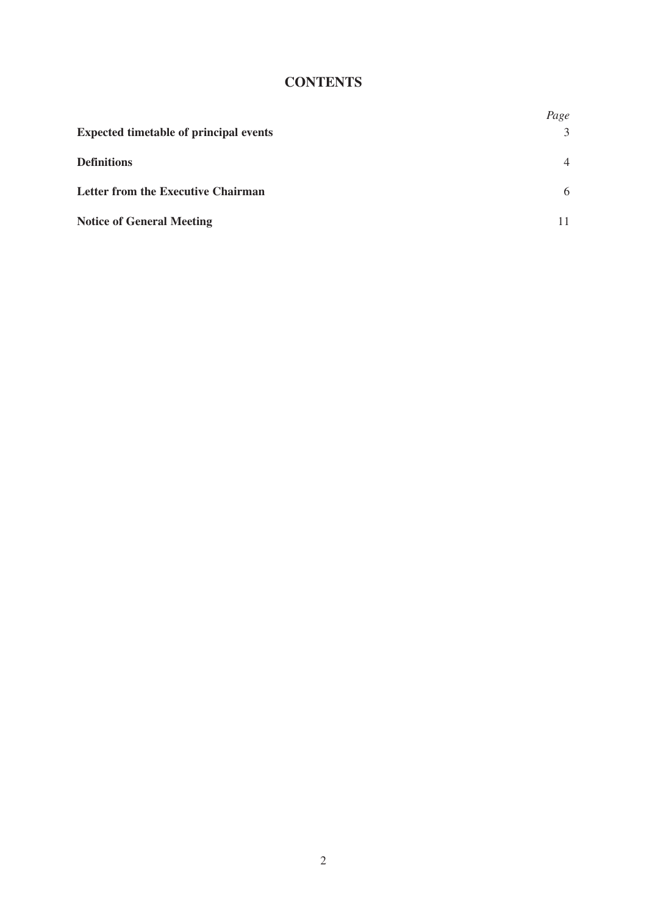# **CONTENTS**

|                                               | Page           |
|-----------------------------------------------|----------------|
| <b>Expected timetable of principal events</b> | 3              |
| <b>Definitions</b>                            | $\overline{4}$ |
| <b>Letter from the Executive Chairman</b>     | 6              |
| <b>Notice of General Meeting</b>              |                |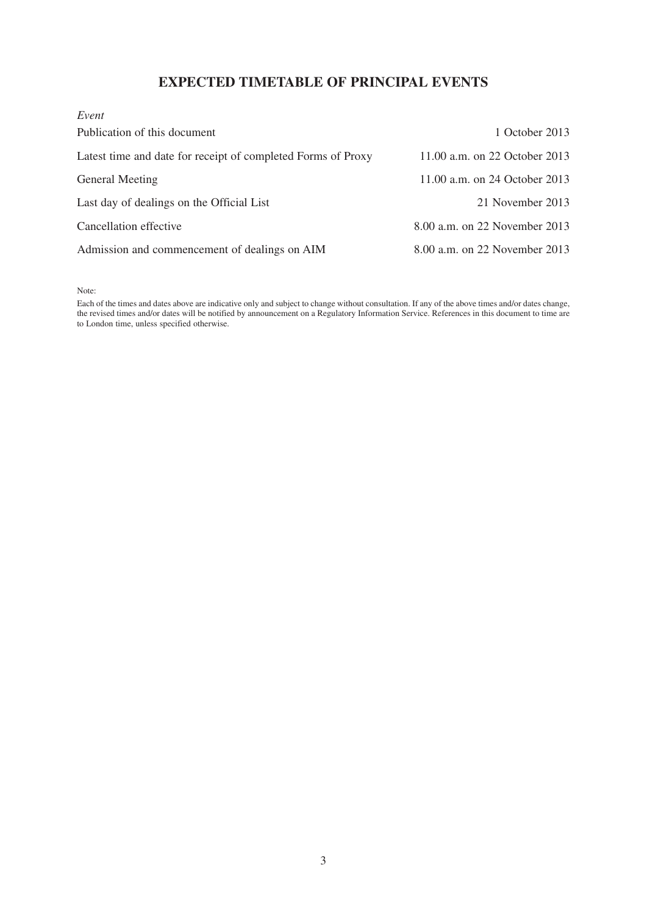# **EXPECTED TIMETABLE OF PRINCIPAL EVENTS**

| Event                                                        |                               |
|--------------------------------------------------------------|-------------------------------|
| Publication of this document                                 | 1 October 2013                |
| Latest time and date for receipt of completed Forms of Proxy | 11.00 a.m. on 22 October 2013 |
| General Meeting                                              | 11.00 a.m. on 24 October 2013 |
| Last day of dealings on the Official List                    | 21 November 2013              |
| Cancellation effective                                       | 8.00 a.m. on 22 November 2013 |
| Admission and commencement of dealings on AIM                | 8.00 a.m. on 22 November 2013 |

Note:

Each of the times and dates above are indicative only and subject to change without consultation. If any of the above times and/or dates change, the revised times and/or dates will be notified by announcement on a Regulatory Information Service. References in this document to time are to London time, unless specified otherwise.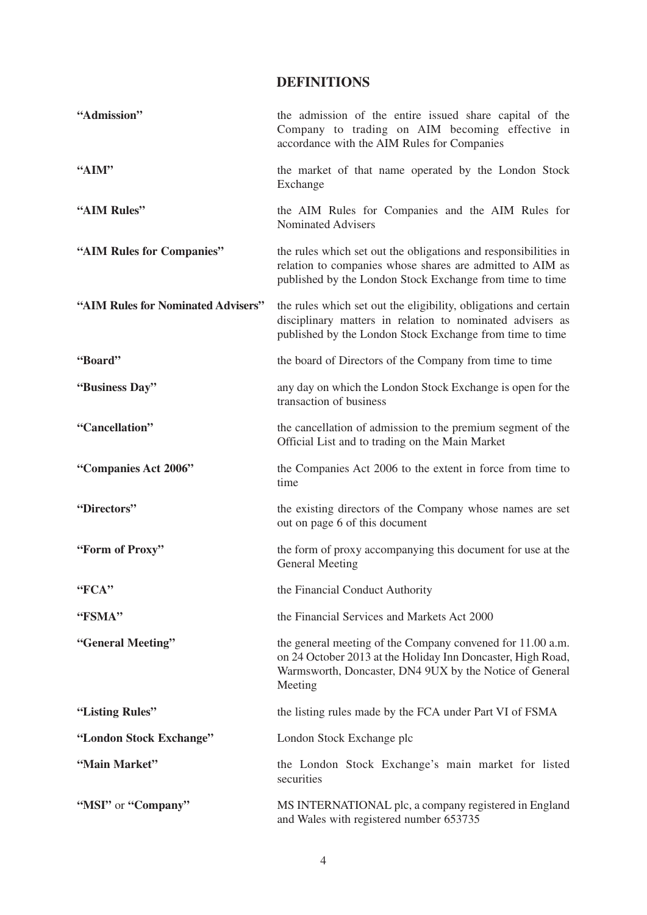## **DEFINITIONS**

| "Admission"                        | the admission of the entire issued share capital of the<br>Company to trading on AIM becoming effective in<br>accordance with the AIM Rules for Companies                                       |
|------------------------------------|-------------------------------------------------------------------------------------------------------------------------------------------------------------------------------------------------|
| "AIM"                              | the market of that name operated by the London Stock<br>Exchange                                                                                                                                |
| "AIM Rules"                        | the AIM Rules for Companies and the AIM Rules for<br><b>Nominated Advisers</b>                                                                                                                  |
| "AIM Rules for Companies"          | the rules which set out the obligations and responsibilities in<br>relation to companies whose shares are admitted to AIM as<br>published by the London Stock Exchange from time to time        |
| "AIM Rules for Nominated Advisers" | the rules which set out the eligibility, obligations and certain<br>disciplinary matters in relation to nominated advisers as<br>published by the London Stock Exchange from time to time       |
| "Board"                            | the board of Directors of the Company from time to time                                                                                                                                         |
| "Business Day"                     | any day on which the London Stock Exchange is open for the<br>transaction of business                                                                                                           |
| "Cancellation"                     | the cancellation of admission to the premium segment of the<br>Official List and to trading on the Main Market                                                                                  |
| "Companies Act 2006"               | the Companies Act 2006 to the extent in force from time to<br>time                                                                                                                              |
| "Directors"                        | the existing directors of the Company whose names are set<br>out on page 6 of this document                                                                                                     |
| "Form of Proxy"                    | the form of proxy accompanying this document for use at the<br><b>General Meeting</b>                                                                                                           |
| "FCA"                              | the Financial Conduct Authority                                                                                                                                                                 |
| "FSMA"                             | the Financial Services and Markets Act 2000                                                                                                                                                     |
| "General Meeting"                  | the general meeting of the Company convened for 11.00 a.m.<br>on 24 October 2013 at the Holiday Inn Doncaster, High Road,<br>Warmsworth, Doncaster, DN4 9UX by the Notice of General<br>Meeting |
| "Listing Rules"                    | the listing rules made by the FCA under Part VI of FSMA                                                                                                                                         |
| "London Stock Exchange"            | London Stock Exchange plc                                                                                                                                                                       |
| "Main Market"                      | the London Stock Exchange's main market for listed<br>securities                                                                                                                                |
| "MSI" or "Company"                 | MS INTERNATIONAL plc, a company registered in England<br>and Wales with registered number 653735                                                                                                |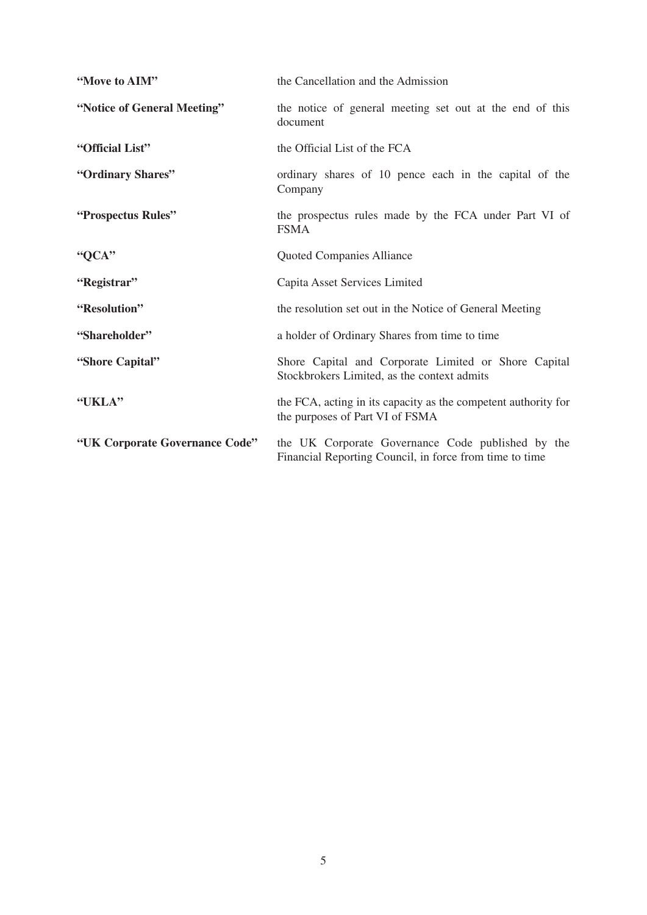| "Move to AIM"                  | the Cancellation and the Admission                                                                           |
|--------------------------------|--------------------------------------------------------------------------------------------------------------|
| "Notice of General Meeting"    | the notice of general meeting set out at the end of this<br>document                                         |
| "Official List"                | the Official List of the FCA                                                                                 |
| "Ordinary Shares"              | ordinary shares of 10 pence each in the capital of the<br>Company                                            |
| "Prospectus Rules"             | the prospectus rules made by the FCA under Part VI of<br><b>FSMA</b>                                         |
| "QCA"                          | Quoted Companies Alliance                                                                                    |
| "Registrar"                    | Capita Asset Services Limited                                                                                |
| "Resolution"                   | the resolution set out in the Notice of General Meeting                                                      |
| "Shareholder"                  | a holder of Ordinary Shares from time to time                                                                |
| "Shore Capital"                | Shore Capital and Corporate Limited or Shore Capital<br>Stockbrokers Limited, as the context admits          |
| "UKLA"                         | the FCA, acting in its capacity as the competent authority for<br>the purposes of Part VI of FSMA            |
| "UK Corporate Governance Code" | the UK Corporate Governance Code published by the<br>Financial Reporting Council, in force from time to time |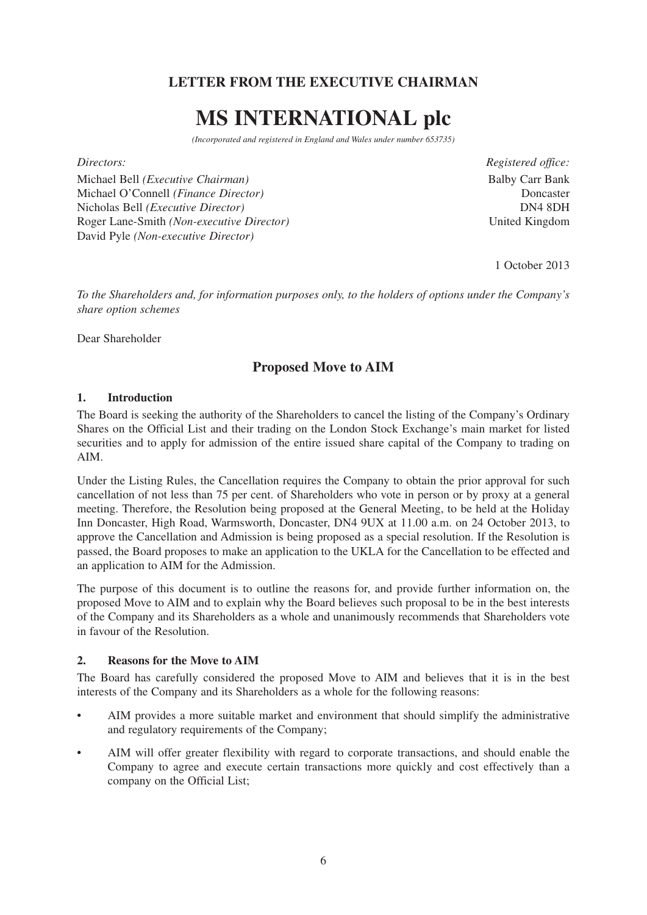# **LETTER FROM THE EXECUTIVE CHAIRMAN**

# **MS INTERNATIONAL plc**

*(Incorporated and registered in England and Wales under number 653735)*

Michael Bell *(Executive Chairman)* Balby Carr Bank Michael O'Connell *(Finance Director)* Doncaster Nicholas Bell *(Executive Director)* DN4 8DH Roger Lane-Smith *(Non-executive Director)* United Kingdom David Pyle *(Non-executive Director)*

*Directors: Registered office:*

1 October 2013

*To the Shareholders and, for information purposes only, to the holders of options under the Company's share option schemes*

Dear Shareholder

## **Proposed Move to AIM**

### **1. Introduction**

The Board is seeking the authority of the Shareholders to cancel the listing of the Company's Ordinary Shares on the Official List and their trading on the London Stock Exchange's main market for listed securities and to apply for admission of the entire issued share capital of the Company to trading on AIM.

Under the Listing Rules, the Cancellation requires the Company to obtain the prior approval for such cancellation of not less than 75 per cent. of Shareholders who vote in person or by proxy at a general meeting. Therefore, the Resolution being proposed at the General Meeting, to be held at the Holiday Inn Doncaster, High Road, Warmsworth, Doncaster, DN4 9UX at 11.00 a.m. on 24 October 2013, to approve the Cancellation and Admission is being proposed as a special resolution. If the Resolution is passed, the Board proposes to make an application to the UKLA for the Cancellation to be effected and an application to AIM for the Admission.

The purpose of this document is to outline the reasons for, and provide further information on, the proposed Move to AIM and to explain why the Board believes such proposal to be in the best interests of the Company and its Shareholders as a whole and unanimously recommends that Shareholders vote in favour of the Resolution.

## **2. Reasons for the Move to AIM**

The Board has carefully considered the proposed Move to AIM and believes that it is in the best interests of the Company and its Shareholders as a whole for the following reasons:

- AIM provides a more suitable market and environment that should simplify the administrative and regulatory requirements of the Company;
- AIM will offer greater flexibility with regard to corporate transactions, and should enable the Company to agree and execute certain transactions more quickly and cost effectively than a company on the Official List;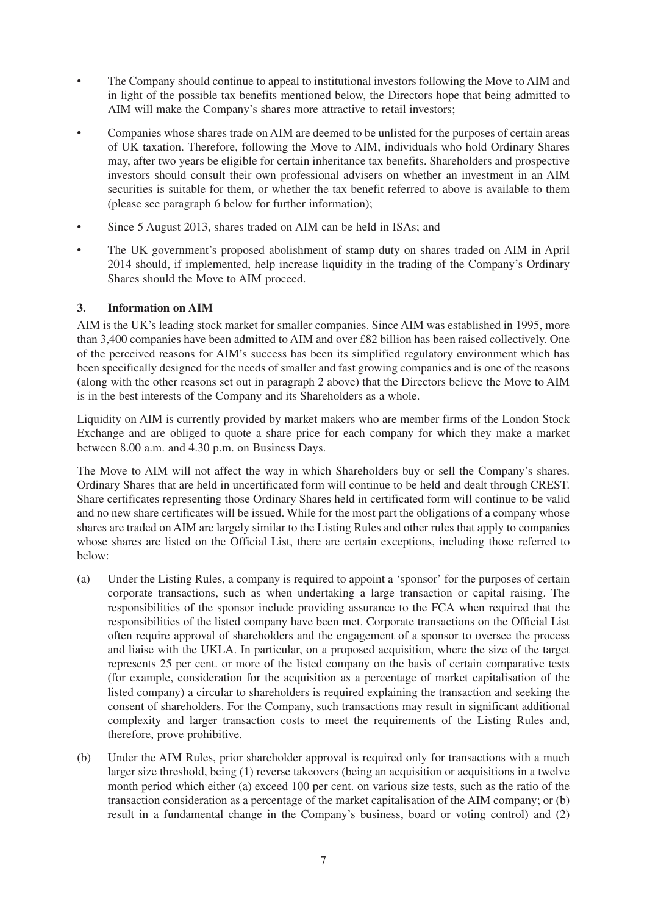- The Company should continue to appeal to institutional investors following the Move to AIM and in light of the possible tax benefits mentioned below, the Directors hope that being admitted to AIM will make the Company's shares more attractive to retail investors;
- Companies whose shares trade on AIM are deemed to be unlisted for the purposes of certain areas of UK taxation. Therefore, following the Move to AIM, individuals who hold Ordinary Shares may, after two years be eligible for certain inheritance tax benefits. Shareholders and prospective investors should consult their own professional advisers on whether an investment in an AIM securities is suitable for them, or whether the tax benefit referred to above is available to them (please see paragraph 6 below for further information);
- Since 5 August 2013, shares traded on AIM can be held in ISAs; and
- The UK government's proposed abolishment of stamp duty on shares traded on AIM in April 2014 should, if implemented, help increase liquidity in the trading of the Company's Ordinary Shares should the Move to AIM proceed.

### **3. Information on AIM**

AIM is the UK's leading stock market for smaller companies. Since AIM was established in 1995, more than 3,400 companies have been admitted to AIM and over £82 billion has been raised collectively. One of the perceived reasons for AIM's success has been its simplified regulatory environment which has been specifically designed for the needs of smaller and fast growing companies and is one of the reasons (along with the other reasons set out in paragraph 2 above) that the Directors believe the Move to AIM is in the best interests of the Company and its Shareholders as a whole.

Liquidity on AIM is currently provided by market makers who are member firms of the London Stock Exchange and are obliged to quote a share price for each company for which they make a market between 8.00 a.m. and 4.30 p.m. on Business Days.

The Move to AIM will not affect the way in which Shareholders buy or sell the Company's shares. Ordinary Shares that are held in uncertificated form will continue to be held and dealt through CREST. Share certificates representing those Ordinary Shares held in certificated form will continue to be valid and no new share certificates will be issued. While for the most part the obligations of a company whose shares are traded on AIM are largely similar to the Listing Rules and other rules that apply to companies whose shares are listed on the Official List, there are certain exceptions, including those referred to below:

- (a) Under the Listing Rules, a company is required to appoint a 'sponsor' for the purposes of certain corporate transactions, such as when undertaking a large transaction or capital raising. The responsibilities of the sponsor include providing assurance to the FCA when required that the responsibilities of the listed company have been met. Corporate transactions on the Official List often require approval of shareholders and the engagement of a sponsor to oversee the process and liaise with the UKLA. In particular, on a proposed acquisition, where the size of the target represents 25 per cent. or more of the listed company on the basis of certain comparative tests (for example, consideration for the acquisition as a percentage of market capitalisation of the listed company) a circular to shareholders is required explaining the transaction and seeking the consent of shareholders. For the Company, such transactions may result in significant additional complexity and larger transaction costs to meet the requirements of the Listing Rules and, therefore, prove prohibitive.
- (b) Under the AIM Rules, prior shareholder approval is required only for transactions with a much larger size threshold, being (1) reverse takeovers (being an acquisition or acquisitions in a twelve month period which either (a) exceed 100 per cent. on various size tests, such as the ratio of the transaction consideration as a percentage of the market capitalisation of the AIM company; or (b) result in a fundamental change in the Company's business, board or voting control) and (2)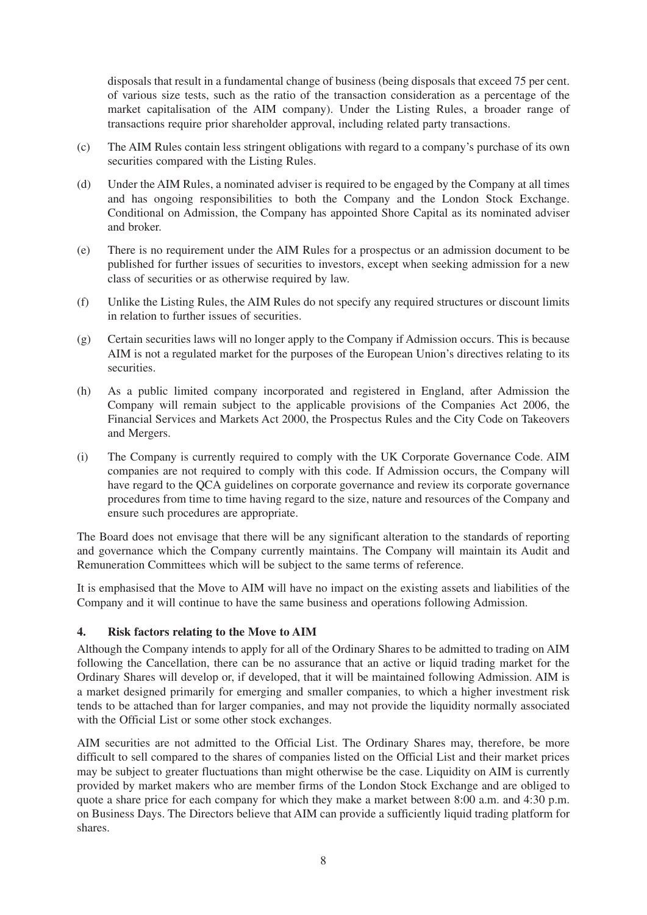disposals that result in a fundamental change of business (being disposals that exceed 75 per cent. of various size tests, such as the ratio of the transaction consideration as a percentage of the market capitalisation of the AIM company). Under the Listing Rules, a broader range of transactions require prior shareholder approval, including related party transactions.

- (c) The AIM Rules contain less stringent obligations with regard to a company's purchase of its own securities compared with the Listing Rules.
- (d) Under the AIM Rules, a nominated adviser is required to be engaged by the Company at all times and has ongoing responsibilities to both the Company and the London Stock Exchange. Conditional on Admission, the Company has appointed Shore Capital as its nominated adviser and broker.
- (e) There is no requirement under the AIM Rules for a prospectus or an admission document to be published for further issues of securities to investors, except when seeking admission for a new class of securities or as otherwise required by law.
- (f) Unlike the Listing Rules, the AIM Rules do not specify any required structures or discount limits in relation to further issues of securities.
- (g) Certain securities laws will no longer apply to the Company if Admission occurs. This is because AIM is not a regulated market for the purposes of the European Union's directives relating to its securities.
- (h) As a public limited company incorporated and registered in England, after Admission the Company will remain subject to the applicable provisions of the Companies Act 2006, the Financial Services and Markets Act 2000, the Prospectus Rules and the City Code on Takeovers and Mergers.
- (i) The Company is currently required to comply with the UK Corporate Governance Code. AIM companies are not required to comply with this code. If Admission occurs, the Company will have regard to the QCA guidelines on corporate governance and review its corporate governance procedures from time to time having regard to the size, nature and resources of the Company and ensure such procedures are appropriate.

The Board does not envisage that there will be any significant alteration to the standards of reporting and governance which the Company currently maintains. The Company will maintain its Audit and Remuneration Committees which will be subject to the same terms of reference.

It is emphasised that the Move to AIM will have no impact on the existing assets and liabilities of the Company and it will continue to have the same business and operations following Admission.

## **4. Risk factors relating to the Move to AIM**

Although the Company intends to apply for all of the Ordinary Shares to be admitted to trading on AIM following the Cancellation, there can be no assurance that an active or liquid trading market for the Ordinary Shares will develop or, if developed, that it will be maintained following Admission. AIM is a market designed primarily for emerging and smaller companies, to which a higher investment risk tends to be attached than for larger companies, and may not provide the liquidity normally associated with the Official List or some other stock exchanges.

AIM securities are not admitted to the Official List. The Ordinary Shares may, therefore, be more difficult to sell compared to the shares of companies listed on the Official List and their market prices may be subject to greater fluctuations than might otherwise be the case. Liquidity on AIM is currently provided by market makers who are member firms of the London Stock Exchange and are obliged to quote a share price for each company for which they make a market between 8:00 a.m. and 4:30 p.m. on Business Days. The Directors believe that AIM can provide a sufficiently liquid trading platform for shares.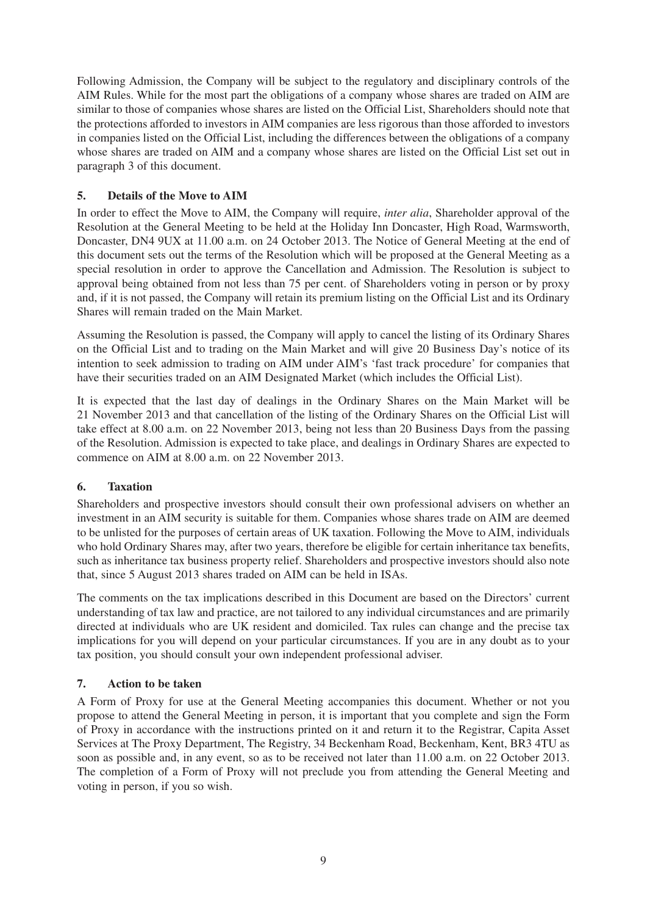Following Admission, the Company will be subject to the regulatory and disciplinary controls of the AIM Rules. While for the most part the obligations of a company whose shares are traded on AIM are similar to those of companies whose shares are listed on the Official List, Shareholders should note that the protections afforded to investors in AIM companies are less rigorous than those afforded to investors in companies listed on the Official List, including the differences between the obligations of a company whose shares are traded on AIM and a company whose shares are listed on the Official List set out in paragraph 3 of this document.

## **5. Details of the Move to AIM**

In order to effect the Move to AIM, the Company will require, *inter alia*, Shareholder approval of the Resolution at the General Meeting to be held at the Holiday Inn Doncaster, High Road, Warmsworth, Doncaster, DN4 9UX at 11.00 a.m. on 24 October 2013. The Notice of General Meeting at the end of this document sets out the terms of the Resolution which will be proposed at the General Meeting as a special resolution in order to approve the Cancellation and Admission. The Resolution is subject to approval being obtained from not less than 75 per cent. of Shareholders voting in person or by proxy and, if it is not passed, the Company will retain its premium listing on the Official List and its Ordinary Shares will remain traded on the Main Market.

Assuming the Resolution is passed, the Company will apply to cancel the listing of its Ordinary Shares on the Official List and to trading on the Main Market and will give 20 Business Day's notice of its intention to seek admission to trading on AIM under AIM's 'fast track procedure' for companies that have their securities traded on an AIM Designated Market (which includes the Official List).

It is expected that the last day of dealings in the Ordinary Shares on the Main Market will be 21 November 2013 and that cancellation of the listing of the Ordinary Shares on the Official List will take effect at 8.00 a.m. on 22 November 2013, being not less than 20 Business Days from the passing of the Resolution. Admission is expected to take place, and dealings in Ordinary Shares are expected to commence on AIM at 8.00 a.m. on 22 November 2013.

## **6. Taxation**

Shareholders and prospective investors should consult their own professional advisers on whether an investment in an AIM security is suitable for them. Companies whose shares trade on AIM are deemed to be unlisted for the purposes of certain areas of UK taxation. Following the Move to AIM, individuals who hold Ordinary Shares may, after two years, therefore be eligible for certain inheritance tax benefits, such as inheritance tax business property relief. Shareholders and prospective investors should also note that, since 5 August 2013 shares traded on AIM can be held in ISAs.

The comments on the tax implications described in this Document are based on the Directors' current understanding of tax law and practice, are not tailored to any individual circumstances and are primarily directed at individuals who are UK resident and domiciled. Tax rules can change and the precise tax implications for you will depend on your particular circumstances. If you are in any doubt as to your tax position, you should consult your own independent professional adviser.

## **7. Action to be taken**

A Form of Proxy for use at the General Meeting accompanies this document. Whether or not you propose to attend the General Meeting in person, it is important that you complete and sign the Form of Proxy in accordance with the instructions printed on it and return it to the Registrar, Capita Asset Services at The Proxy Department, The Registry, 34 Beckenham Road, Beckenham, Kent, BR3 4TU as soon as possible and, in any event, so as to be received not later than 11.00 a.m. on 22 October 2013. The completion of a Form of Proxy will not preclude you from attending the General Meeting and voting in person, if you so wish.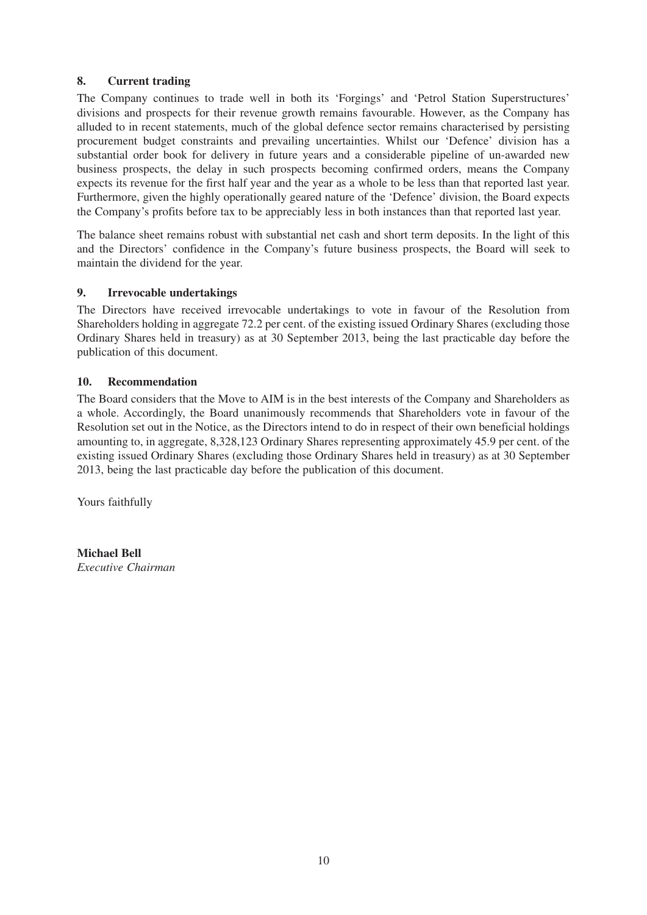### **8. Current trading**

The Company continues to trade well in both its 'Forgings' and 'Petrol Station Superstructures' divisions and prospects for their revenue growth remains favourable. However, as the Company has alluded to in recent statements, much of the global defence sector remains characterised by persisting procurement budget constraints and prevailing uncertainties. Whilst our 'Defence' division has a substantial order book for delivery in future years and a considerable pipeline of un-awarded new business prospects, the delay in such prospects becoming confirmed orders, means the Company expects its revenue for the first half year and the year as a whole to be less than that reported last year. Furthermore, given the highly operationally geared nature of the 'Defence' division, the Board expects the Company's profits before tax to be appreciably less in both instances than that reported last year.

The balance sheet remains robust with substantial net cash and short term deposits. In the light of this and the Directors' confidence in the Company's future business prospects, the Board will seek to maintain the dividend for the year.

### **9. Irrevocable undertakings**

The Directors have received irrevocable undertakings to vote in favour of the Resolution from Shareholders holding in aggregate 72.2 per cent. of the existing issued Ordinary Shares (excluding those Ordinary Shares held in treasury) as at 30 September 2013, being the last practicable day before the publication of this document.

#### **10. Recommendation**

The Board considers that the Move to AIM is in the best interests of the Company and Shareholders as a whole. Accordingly, the Board unanimously recommends that Shareholders vote in favour of the Resolution set out in the Notice, as the Directors intend to do in respect of their own beneficial holdings amounting to, in aggregate, 8,328,123 Ordinary Shares representing approximately 45.9 per cent. of the existing issued Ordinary Shares (excluding those Ordinary Shares held in treasury) as at 30 September 2013, being the last practicable day before the publication of this document.

Yours faithfully

**Michael Bell** *Executive Chairman*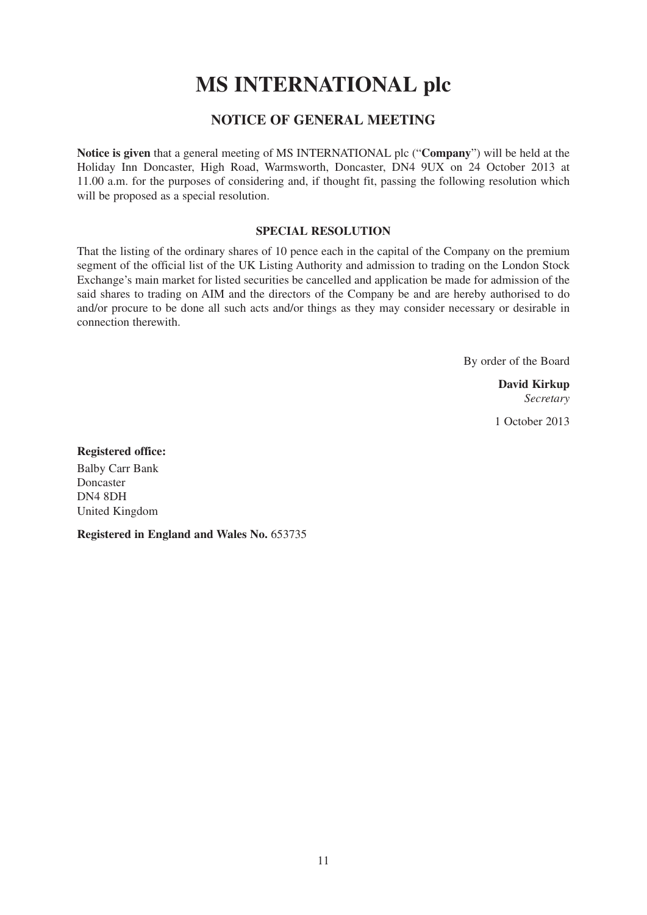# **MS INTERNATIONAL plc**

## **NOTICE OF GENERAL MEETING**

**Notice is given** that a general meeting of MS INTERNATIONAL plc ("**Company**") will be held at the Holiday Inn Doncaster, High Road, Warmsworth, Doncaster, DN4 9UX on 24 October 2013 at 11.00 a.m. for the purposes of considering and, if thought fit, passing the following resolution which will be proposed as a special resolution.

### **SPECIAL RESOLUTION**

That the listing of the ordinary shares of 10 pence each in the capital of the Company on the premium segment of the official list of the UK Listing Authority and admission to trading on the London Stock Exchange's main market for listed securities be cancelled and application be made for admission of the said shares to trading on AIM and the directors of the Company be and are hereby authorised to do and/or procure to be done all such acts and/or things as they may consider necessary or desirable in connection therewith.

By order of the Board

**David Kirkup** *Secretary*

1 October 2013

**Registered office:** Balby Carr Bank Doncaster DN4 8DH United Kingdom

**Registered in England and Wales No.** 653735